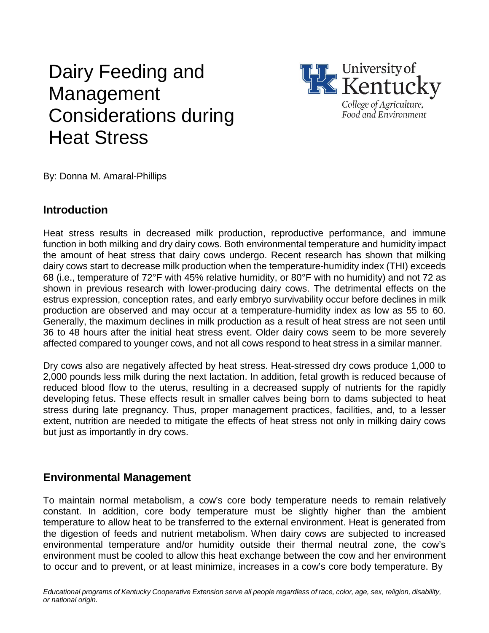# Dairy Feeding and Management Considerations during Heat Stress



By: Donna M. Amaral-Phillips

#### **Introduction**

Heat stress results in decreased milk production, reproductive performance, and immune function in both milking and dry dairy cows. Both environmental temperature and humidity impact the amount of heat stress that dairy cows undergo. Recent research has shown that milking dairy cows start to decrease milk production when the temperature-humidity index (THI) exceeds 68 (i.e., temperature of 72°F with 45% relative humidity, or 80°F with no humidity) and not 72 as shown in previous research with lower-producing dairy cows. The detrimental effects on the estrus expression, conception rates, and early embryo survivability occur before declines in milk production are observed and may occur at a temperature-humidity index as low as 55 to 60. Generally, the maximum declines in milk production as a result of heat stress are not seen until 36 to 48 hours after the initial heat stress event. Older dairy cows seem to be more severely affected compared to younger cows, and not all cows respond to heat stress in a similar manner.

Dry cows also are negatively affected by heat stress. Heat-stressed dry cows produce 1,000 to 2,000 pounds less milk during the next lactation. In addition, fetal growth is reduced because of reduced blood flow to the uterus, resulting in a decreased supply of nutrients for the rapidly developing fetus. These effects result in smaller calves being born to dams subjected to heat stress during late pregnancy. Thus, proper management practices, facilities, and, to a lesser extent, nutrition are needed to mitigate the effects of heat stress not only in milking dairy cows but just as importantly in dry cows.

#### **Environmental Management**

To maintain normal metabolism, a cow's core body temperature needs to remain relatively constant. In addition, core body temperature must be slightly higher than the ambient temperature to allow heat to be transferred to the external environment. Heat is generated from the digestion of feeds and nutrient metabolism. When dairy cows are subjected to increased environmental temperature and/or humidity outside their thermal neutral zone, the cow's environment must be cooled to allow this heat exchange between the cow and her environment to occur and to prevent, or at least minimize, increases in a cow's core body temperature. By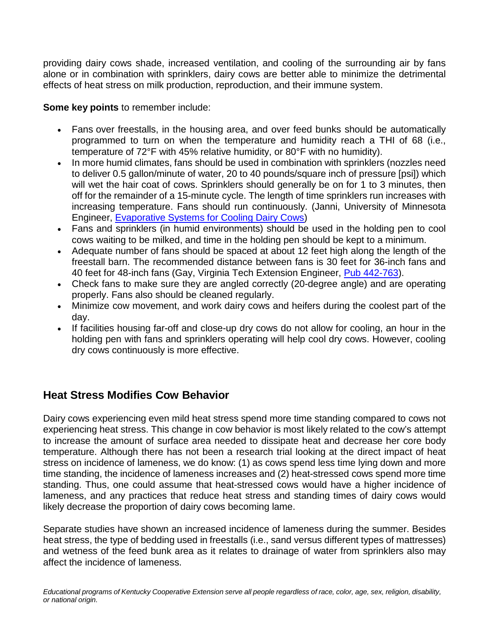providing dairy cows shade, increased ventilation, and cooling of the surrounding air by fans alone or in combination with sprinklers, dairy cows are better able to minimize the detrimental effects of heat stress on milk production, reproduction, and their immune system.

**Some key points** to remember include:

- Fans over freestalls, in the housing area, and over feed bunks should be automatically programmed to turn on when the temperature and humidity reach a THI of 68 (i.e., temperature of 72°F with 45% relative humidity, or 80°F with no humidity).
- In more humid climates, fans should be used in combination with sprinklers (nozzles need to deliver 0.5 gallon/minute of water, 20 to 40 pounds/square inch of pressure [psi]) which will wet the hair coat of cows. Sprinklers should generally be on for 1 to 3 minutes, then off for the remainder of a 15-minute cycle. The length of time sprinklers run increases with increasing temperature. Fans should run continuously. (Janni, University of Minnesota Engineer, [Evaporative](https://en.engormix.com/MA-dairy-cattle/news/evaporative-systems-cooling-dairy-t13111/p0.htm) Systems for Cooling Dairy Cows)
- Fans and sprinklers (in humid environments) should be used in the holding pen to cool cows waiting to be milked, and time in the holding pen should be kept to a minimum.
- Adequate number of fans should be spaced at about 12 feet high along the length of the freestall barn. The recommended distance between fans is 30 feet for 36-inch fans and 40 feet for 48-inch fans (Gay, Virginia Tech Extension Engineer, Pub [442-763\)](http://pubs.ext.vt.edu/442/442-763/442-763_pdf.pdf).
- Check fans to make sure they are angled correctly (20-degree angle) and are operating properly. Fans also should be cleaned regularly.
- Minimize cow movement, and work dairy cows and heifers during the coolest part of the day.
- If facilities housing far-off and close-up dry cows do not allow for cooling, an hour in the holding pen with fans and sprinklers operating will help cool dry cows. However, cooling dry cows continuously is more effective.

## **Heat Stress Modifies Cow Behavior**

Dairy cows experiencing even mild heat stress spend more time standing compared to cows not experiencing heat stress. This change in cow behavior is most likely related to the cow's attempt to increase the amount of surface area needed to dissipate heat and decrease her core body temperature. Although there has not been a research trial looking at the direct impact of heat stress on incidence of lameness, we do know: (1) as cows spend less time lying down and more time standing, the incidence of lameness increases and (2) heat-stressed cows spend more time standing. Thus, one could assume that heat-stressed cows would have a higher incidence of lameness, and any practices that reduce heat stress and standing times of dairy cows would likely decrease the proportion of dairy cows becoming lame.

Separate studies have shown an increased incidence of lameness during the summer. Besides heat stress, the type of bedding used in freestalls (i.e., sand versus different types of mattresses) and wetness of the feed bunk area as it relates to drainage of water from sprinklers also may affect the incidence of lameness.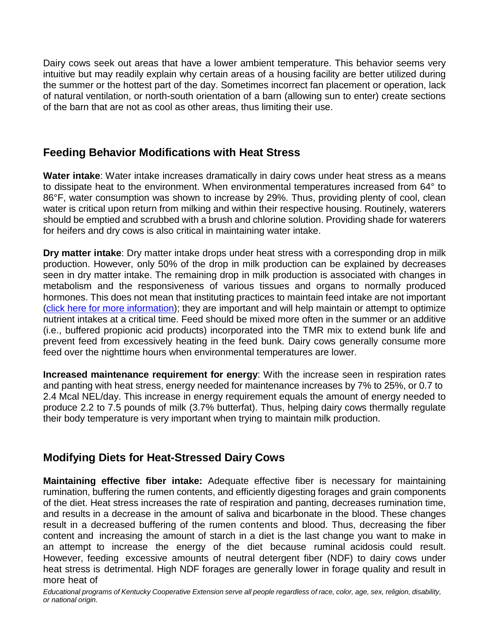Dairy cows seek out areas that have a lower ambient temperature. This behavior seems very intuitive but may readily explain why certain areas of a housing facility are better utilized during the summer or the hottest part of the day. Sometimes incorrect fan placement or operation, lack of natural ventilation, or north-south orientation of a barn (allowing sun to enter) create sections of the barn that are not as cool as other areas, thus limiting their use.

### **Feeding Behavior Modifications with Heat Stress**

**Water intake**: Water intake increases dramatically in dairy cows under heat stress as a means to dissipate heat to the environment. When environmental temperatures increased from 64° to 86°F, water consumption was shown to increase by 29%. Thus, providing plenty of cool, clean water is critical upon return from milking and within their respective housing. Routinely, waterers should be emptied and scrubbed with a brush and chlorine solution. Providing shade for waterers for heifers and dry cows is also critical in maintaining water intake.

**Dry matter intake**: Dry matter intake drops under heat stress with a corresponding drop in milk production. However, only 50% of the drop in milk production can be explained by decreases seen in dry matter intake. The remaining drop in milk production is associated with changes in metabolism and the responsiveness of various tissues and organs to normally produced hormones. This does not mean that instituting practices to maintain feed intake are not important (click here for more [information\)](https://afs.ca.uky.edu/content/checklist-top-5-priorities-fallwinter-dairy-feeding-programs); they are important and will help maintain or attempt to optimize nutrient intakes at a critical time. Feed should be mixed more often in the summer or an additive (i.e., buffered propionic acid products) incorporated into the TMR mix to extend bunk life and prevent feed from excessively heating in the feed bunk. Dairy cows generally consume more feed over the nighttime hours when environmental temperatures are lower.

**Increased maintenance requirement for energy**: With the increase seen in respiration rates and panting with heat stress, energy needed for maintenance increases by 7% to 25%, or 0.7 to 2.4 Mcal NEL/day. This increase in energy requirement equals the amount of energy needed to produce 2.2 to 7.5 pounds of milk (3.7% butterfat). Thus, helping dairy cows thermally regulate their body temperature is very important when trying to maintain milk production.

## **Modifying Diets for Heat-Stressed Dairy Cows**

**Maintaining effective fiber intake:** Adequate effective fiber is necessary for maintaining rumination, buffering the rumen contents, and efficiently digesting forages and grain components of the diet. Heat stress increases the rate of respiration and panting, decreases rumination time, and results in a decrease in the amount of saliva and bicarbonate in the blood. These changes result in a decreased buffering of the rumen contents and blood. Thus, decreasing the fiber content and increasing the amount of starch in a diet is the last change you want to make in an attempt to increase the energy of the diet because ruminal acidosis could result. However, feeding excessive amounts of neutral detergent fiber (NDF) to dairy cows under heat stress is detrimental. High NDF forages are generally lower in forage quality and result in more heat of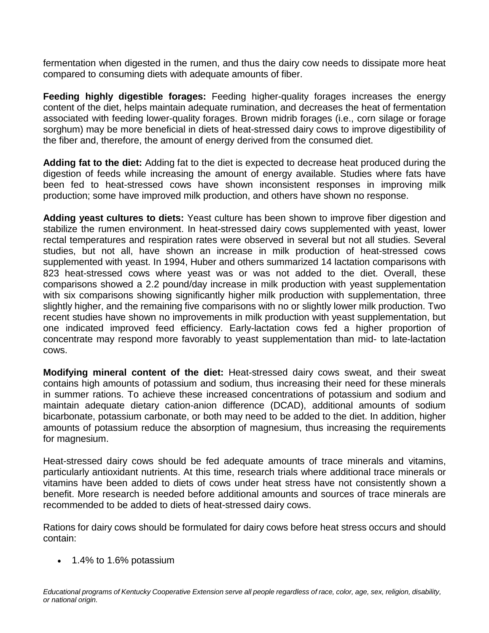fermentation when digested in the rumen, and thus the dairy cow needs to dissipate more heat compared to consuming diets with adequate amounts of fiber.

**Feeding highly digestible forages:** Feeding higher-quality forages increases the energy content of the diet, helps maintain adequate rumination, and decreases the heat of fermentation associated with feeding lower-quality forages. Brown midrib forages (i.e., corn silage or forage sorghum) may be more beneficial in diets of heat-stressed dairy cows to improve digestibility of the fiber and, therefore, the amount of energy derived from the consumed diet.

**Adding fat to the diet:** Adding fat to the diet is expected to decrease heat produced during the digestion of feeds while increasing the amount of energy available. Studies where fats have been fed to heat-stressed cows have shown inconsistent responses in improving milk production; some have improved milk production, and others have shown no response.

**Adding yeast cultures to diets:** Yeast culture has been shown to improve fiber digestion and stabilize the rumen environment. In heat-stressed dairy cows supplemented with yeast, lower rectal temperatures and respiration rates were observed in several but not all studies. Several studies, but not all, have shown an increase in milk production of heat-stressed cows supplemented with yeast. In 1994, Huber and others summarized 14 lactation comparisons with 823 heat-stressed cows where yeast was or was not added to the diet. Overall, these comparisons showed a 2.2 pound/day increase in milk production with yeast supplementation with six comparisons showing significantly higher milk production with supplementation, three slightly higher, and the remaining five comparisons with no or slightly lower milk production. Two recent studies have shown no improvements in milk production with yeast supplementation, but one indicated improved feed efficiency. Early-lactation cows fed a higher proportion of concentrate may respond more favorably to yeast supplementation than mid- to late-lactation cows.

**Modifying mineral content of the diet:** Heat-stressed dairy cows sweat, and their sweat contains high amounts of potassium and sodium, thus increasing their need for these minerals in summer rations. To achieve these increased concentrations of potassium and sodium and maintain adequate dietary cation-anion difference (DCAD), additional amounts of sodium bicarbonate, potassium carbonate, or both may need to be added to the diet. In addition, higher amounts of potassium reduce the absorption of magnesium, thus increasing the requirements for magnesium.

Heat-stressed dairy cows should be fed adequate amounts of trace minerals and vitamins, particularly antioxidant nutrients. At this time, research trials where additional trace minerals or vitamins have been added to diets of cows under heat stress have not consistently shown a benefit. More research is needed before additional amounts and sources of trace minerals are recommended to be added to diets of heat-stressed dairy cows.

Rations for dairy cows should be formulated for dairy cows before heat stress occurs and should contain:

• 1.4% to 1.6% potassium